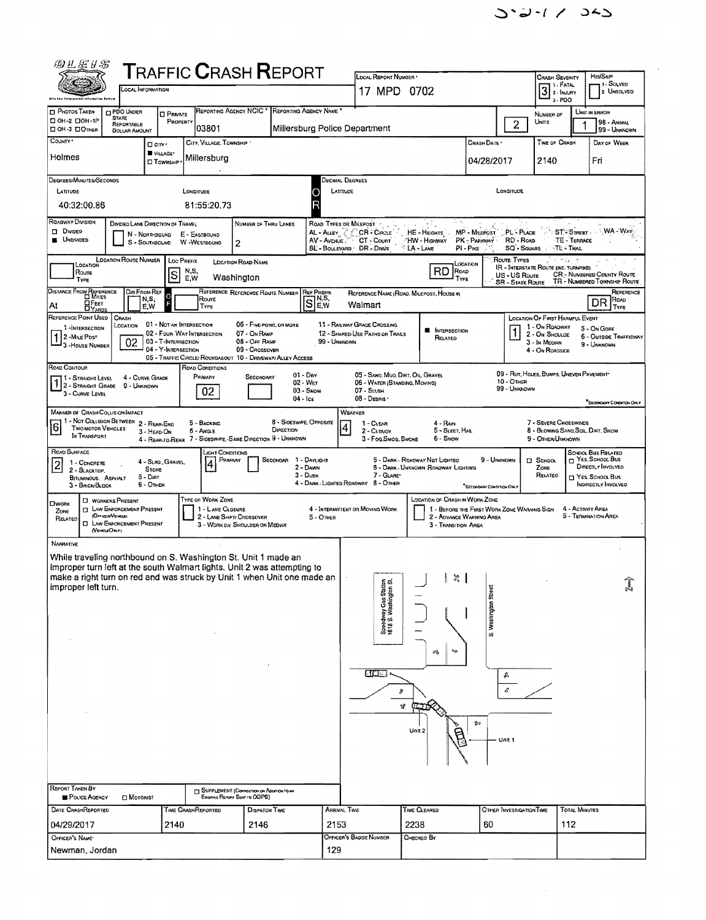| 四儿居り客                                                                                                                                               | <b>TRAFFIC CRASH REPORT</b>                                                    |                                                         |                                              |                                                                    |                                                                         |                           |                          |                                                        |                      |                                                            |
|-----------------------------------------------------------------------------------------------------------------------------------------------------|--------------------------------------------------------------------------------|---------------------------------------------------------|----------------------------------------------|--------------------------------------------------------------------|-------------------------------------------------------------------------|---------------------------|--------------------------|--------------------------------------------------------|----------------------|------------------------------------------------------------|
|                                                                                                                                                     |                                                                                |                                                         |                                              | LOCAL REPORT NUMBER                                                |                                                                         |                           |                          | <b>CRASH SEVERITY</b><br><b>1. FATAL</b>               |                      | <b>Hn/Skip</b><br>1 - SOLVED                               |
| <b>CCAL INFORMATION</b>                                                                                                                             |                                                                                |                                                         |                                              | 17 MPD 0702                                                        |                                                                         |                           |                          | $3$ 2- INJURY<br>3-PDO                                 |                      | 2. UNSOLVED                                                |
| <b>D</b> PHOTOS TAKEN<br><b>D PDO UNDER</b>                                                                                                         | <b>D</b> PRIVATE                                                               | REPORTING AGENCY NOIC * REPORTING AGENCY NAME *         |                                              |                                                                    |                                                                         |                           |                          | NUMBER OF                                              |                      | UNIT IN ERROR                                              |
| <b>STATE</b><br>□ 0Н-2 □ 0Н-1Р<br>REPORTABLE<br>DOH-3 DOTHER<br><b>DOLLAR AMOUNT</b>                                                                | PROPERTY<br>03801                                                              |                                                         | Millersburg Police Department                |                                                                    |                                                                         |                           | $\overline{c}$           | UNITS                                                  |                      | 98 - ANIMAL<br>99 - Unknown                                |
| COUNTY *<br>D <sub>curv</sub>                                                                                                                       | CITY, VILLAGE, TOWNSHIP                                                        |                                                         |                                              |                                                                    |                                                                         | Crash Date *              |                          | TIME OF CRASH                                          |                      | DAY OF WEEK                                                |
| Holmes                                                                                                                                              | VILLAGE*<br>Millersburg                                                        |                                                         |                                              |                                                                    |                                                                         | 04/28/2017                |                          | 2140                                                   |                      | Fri                                                        |
|                                                                                                                                                     | <b>D</b> Township                                                              |                                                         |                                              |                                                                    |                                                                         |                           |                          |                                                        |                      |                                                            |
| DEGREES/MINUTES/SECONDS                                                                                                                             |                                                                                |                                                         | Decimal Degrees                              |                                                                    |                                                                         |                           |                          |                                                        |                      |                                                            |
| LATITUDE<br>40:32:00.86                                                                                                                             | LONGITUDE<br>81:55:20.73                                                       |                                                         | LATITUDE<br>R                                |                                                                    |                                                                         |                           | <b>LONGITUDE</b>         |                                                        |                      |                                                            |
|                                                                                                                                                     |                                                                                |                                                         |                                              |                                                                    |                                                                         |                           |                          |                                                        |                      |                                                            |
| ROADWAY DIVISION<br>DIVIDEO LANE DIRECTION OF TRAVEL<br><b>Divided</b><br>N - Northbound                                                            | E - EASTBOUNO                                                                  | NUMBER OF THRU LANES                                    | ROAD TYPES OR MILEPOST<br>AL - ALLEY C &     | CR - CIRCLE                                                        | HE - HEIGHTS                                                            | MP - Microst              | <b>LPL-PLACE</b>         |                                                        | ST-STREET            | : WA - Way                                                 |
| <b>B</b> UNDIVIDED<br>S - SOUTHBOUND                                                                                                                | W -WESTBOUND<br>$\overline{2}$                                                 |                                                         | AV - AVENUE<br>BL - BOULEVARD DR. DRIVE      | CT - COURT                                                         | "HW - Highway<br>$\mathsf{A}\cdot\mathsf{L}$ ane                        | PK - PARKWAY<br>Pi-Pike   | RD - Road<br>SQ - SOUARE | $-TL$ - Trai                                           | TE - TERRACE         |                                                            |
| LOCATION ROUTE NUMBER<br>LOCATION                                                                                                                   | Loc PREFIX                                                                     | LOCATION ROAD NAME                                      |                                              |                                                                    | LOCATION                                                                |                           | ROUTE TYPES              | $\theta^2 \frac{1}{2} \frac{1}{4}$                     |                      |                                                            |
| Route<br>TYPE                                                                                                                                       | N,S,<br>S<br>Washington<br>E,W                                                 |                                                         |                                              |                                                                    | RD.<br>ROAD<br>TYPE                                                     |                           | US - US ROUTE            | IR - INTERSTATE ROUTE (INC. TURNPIKE)                  |                      | CR - NUMBERED COUNTY ROUTE                                 |
| DISTANCE FROM REFERENCE<br>DIR FROM REF                                                                                                             |                                                                                | REFERENCE REFERENCE ROUTE NUMBER                        | <b>REF PREFIX</b>                            | REFERENCE NAME (ROAD, MILEPOST, HOUSE #)                           |                                                                         |                           |                          |                                                        |                      | SR - STATE ROUTE TR - NUMBERED TOWNSHIP ROUTE<br>REFERENCE |
| N,S,<br>OFEET<br>At<br>E.W<br><b>DYARDS</b>                                                                                                         | Roure<br>TYPE                                                                  |                                                         | $\overline{S}$ <sup>N,S</sup> ,<br>E,W       | Walmart                                                            |                                                                         |                           |                          |                                                        |                      | ROAD<br>DR<br>TYPE                                         |
| REFERENCE POINT USED<br>CRASH                                                                                                                       | 01 - NOT AN INTERSECTION                                                       | 06 - Five POINT, OR MORE                                |                                              | <b>11 - RASWAY GRACE CROSSING</b>                                  |                                                                         |                           |                          | LOCATION OF FIRST HARMFUL EVENT                        |                      |                                                            |
| LOCATION<br>1-INTERSECTION<br>2 - MILE POST                                                                                                         | 02 - FOUR WAY INTERSECTION                                                     | 07 - On RAMP                                            |                                              | 12 - SHARED-USE PATHS OR TRAILS                                    | <b>NITERSECTION</b><br>RELATED                                          |                           |                          | 1 - On ROADWAY<br>2 - On Shoulde                       |                      | 5 - On Gore<br>6 - OUTSIDE TRAFFICWAY                      |
| 02<br>3 - House Number                                                                                                                              | 03 - T-INTERSECTION<br>04 - Y-INTERSECTION                                     | 08 - Off Ramp<br>09 - Crossover                         | 99 - UNKNOWN                                 |                                                                    |                                                                         |                           |                          | 3 - In Median<br>4 - On ROAOSIDE                       |                      | 9 - UNKNOWN                                                |
| ROAD CONTOUR                                                                                                                                        | 05 - TRAFFIC CIRCLE/ ROUNDABOUT 10 - DRIVEWAY/ ALLEY ACCESS<br>ROAD CONDITIONS |                                                         |                                              |                                                                    |                                                                         |                           |                          |                                                        |                      |                                                            |
| 4 - CURVE GRADE<br>11 - Straight Level                                                                                                              | PRIMARY                                                                        | $01 - \text{Dry}$<br>SECONDARY<br>02 - WET              |                                              | 05 - SANO, MUO, DIRT, OIL, GRAVEL<br>06 - WATER (STANDING, MOVING) |                                                                         |                           | <b>10 - OTHER</b>        | 09 - RUT, HOLES, BUMPS, UNEVEN PAVEMENT                |                      |                                                            |
| 7 2 - Straight Grade<br>9 - UNKNOWN<br>3 - CURVE LEVEL                                                                                              | 02                                                                             | 03 - SNOW<br>$04 - 1c$                                  |                                              | 07 - SLUSH<br>08 - DEBRIS .                                        |                                                                         |                           | 99 - Unknown             |                                                        |                      |                                                            |
| MANNER OF CRASH COLLISION/IMPACT                                                                                                                    |                                                                                |                                                         | WEATHER                                      |                                                                    |                                                                         |                           |                          |                                                        |                      | SECONDARY CONDITION ONLY                                   |
| 1 - Not Collision Between 2 - Rear-End<br><b>TWO MOTOR VEHICLES</b>                                                                                 | 5 - BACKING                                                                    | 8 - SIOESWIPE, OPPOSITE                                 |                                              | 1 - CLEAR                                                          | 4 - Rain                                                                |                           |                          | 7 - SEVERE CROSSWINDS                                  |                      |                                                            |
| <u> 6</u><br>3 - HEAD-ON<br>IN TRANSPORT                                                                                                            | <b>6 - Angle</b><br>4 - Rear to Rear                                           | DIRECTION<br>7 - SIDESWIPE, -SAME DIRECTION 9 - UNKNOWN |                                              | 2 - CLOUDY<br>3 - Fog, SMOG, SMOKE                                 | 5 - Sleet, Hail<br>6 - SNOW                                             |                           |                          | 8 - BLOWING SANO, SOR, DIRT, SNOW<br>9 - OTHER/UNKNOWN |                      |                                                            |
| ROAD SURFACE                                                                                                                                        | лснт Сомонтюмз                                                                 |                                                         |                                              |                                                                    |                                                                         |                           |                          |                                                        |                      | SCHOOL BUS RELATED                                         |
| 2<br>1 - CONCRETE<br><b>STONE</b><br>2 - BLACKTOP,                                                                                                  | PRIMARY<br>4<br>4 - Slag, Gravel,                                              | SECONOAR 1 - DAYLIGHT<br>2 - DAWN                       |                                              |                                                                    | 5 - DARK - ROAOWAY NOT LIGHTEO<br>5 - Dark Unknown Roadway Lighting     | 9 - UNKNOWN               |                          | $5$ SCHOOL<br>ZONE                                     |                      | NES, SCHOOL BUS<br>DIRECTLY INVOLVED                       |
| 5 - Dirt<br>BITUMINOUS. ASPHALT<br>$6 -$ OTHER<br>3. - BRICK/BLOCK                                                                                  |                                                                                | $3 -$ Dusk                                              | 4 - DARK - LIGHTED ROADWAY 8 - OTHER         | 7 - GLARE                                                          |                                                                         | "SECONDARY CONDITION OWLY |                          | RELATEO                                                |                      | T YES, SCHOOL BUS<br>INDIRECTLY INVOLVED                   |
| <b>EJ WORKERS PRESENT</b><br><b>OWORK</b>                                                                                                           | TYPE OF WORK ZONE                                                              |                                                         |                                              |                                                                    | LOCATION OF CRASH IN WORK ZONE                                          |                           |                          |                                                        |                      |                                                            |
| <b>ET LAW ENFORCEMENT PRESENT</b><br>Zone<br>(Officer/Venicle)<br>RELATED                                                                           | 1 - LANE CLOSURE<br>2 - LANE SHIFT/ CROSSOVER                                  |                                                         | 4 - INTERMITTENT OR MOVING WORK<br>5 - OTHER |                                                                    | 1 - BEFORE THE FIRST WORK ZONE WARNING SIGN<br>2 - AOVANCE WARNING AREA |                           |                          |                                                        | 4 - ACTIVITY AREA    | 5 - TERMINATION AREA                                       |
| <b>C LAW ENFORCEMENT PRESENT</b><br>(VEHOLEOKLY)                                                                                                    |                                                                                | 3 - WORK ON SHOULDER OR MEDIAN                          |                                              |                                                                    | 3 - TRANSITION AREA                                                     |                           |                          |                                                        |                      |                                                            |
| <b>NARRATIVE</b>                                                                                                                                    |                                                                                |                                                         |                                              |                                                                    |                                                                         |                           |                          |                                                        |                      |                                                            |
| While traveling northbound on S. Washington St. Unit 1 made an                                                                                      |                                                                                |                                                         |                                              |                                                                    |                                                                         |                           |                          |                                                        |                      |                                                            |
| improper turn left at the south Walmart lights. Unit 2 was attempting to<br>make a right turn on red and was struck by Unit 1 when Unit one made an |                                                                                |                                                         |                                              |                                                                    | $\approx$                                                               |                           |                          |                                                        |                      |                                                            |
| improper left turn.                                                                                                                                 |                                                                                |                                                         |                                              |                                                                    |                                                                         |                           |                          |                                                        |                      | ŀ,                                                         |
|                                                                                                                                                     |                                                                                |                                                         |                                              |                                                                    |                                                                         |                           |                          |                                                        |                      |                                                            |
|                                                                                                                                                     |                                                                                |                                                         |                                              | Speedway Gas Station<br>1618 S. Washington St.                     |                                                                         | S. Washington Street      |                          |                                                        |                      |                                                            |
|                                                                                                                                                     |                                                                                |                                                         |                                              |                                                                    |                                                                         |                           |                          |                                                        |                      |                                                            |
|                                                                                                                                                     |                                                                                |                                                         |                                              |                                                                    | ¥J.                                                                     |                           |                          |                                                        |                      |                                                            |
|                                                                                                                                                     |                                                                                |                                                         |                                              |                                                                    |                                                                         |                           |                          |                                                        |                      |                                                            |
|                                                                                                                                                     |                                                                                |                                                         |                                              | ، صحت                                                              |                                                                         |                           |                          |                                                        |                      |                                                            |
|                                                                                                                                                     |                                                                                |                                                         |                                              | э                                                                  |                                                                         |                           |                          |                                                        |                      |                                                            |
|                                                                                                                                                     |                                                                                |                                                         |                                              | А,                                                                 |                                                                         |                           |                          |                                                        |                      |                                                            |
|                                                                                                                                                     |                                                                                |                                                         |                                              |                                                                    |                                                                         | ŶФ                        |                          |                                                        |                      |                                                            |
|                                                                                                                                                     |                                                                                |                                                         |                                              |                                                                    | Unit <sub>2</sub>                                                       |                           | Unit 1                   |                                                        |                      |                                                            |
|                                                                                                                                                     |                                                                                |                                                         |                                              |                                                                    |                                                                         |                           |                          |                                                        |                      |                                                            |
|                                                                                                                                                     |                                                                                |                                                         |                                              |                                                                    |                                                                         |                           |                          |                                                        |                      |                                                            |
| REPORT TAKEN BY                                                                                                                                     |                                                                                |                                                         |                                              |                                                                    |                                                                         |                           |                          |                                                        |                      |                                                            |
| POLICE AGENCY<br><b>D</b> MOTORIST                                                                                                                  | Existing Report Sent to ODPS)                                                  | <b>TT SUPPLEMENT (CORRECTION OR ADOITION TO ARE</b>     |                                              |                                                                    |                                                                         |                           |                          |                                                        |                      |                                                            |
| DATE CRASHREPORTED                                                                                                                                  | <b>TIME CRASHREPORTED</b>                                                      | DISPATCH TIME                                           | ARRIVAL TIME                                 |                                                                    | TIME CLEARED                                                            |                           | OTHER INVESTIGATION TIME |                                                        | <b>TOTAL MINUTES</b> |                                                            |
| 04/29/2017                                                                                                                                          | 2140                                                                           | 2146                                                    | 2153                                         |                                                                    | 2238                                                                    | 60                        |                          | 112                                                    |                      |                                                            |
| OFFICER'S NAME*                                                                                                                                     |                                                                                |                                                         |                                              | OFFICER'S BADGE NUMBER                                             | CHECKED BY                                                              |                           |                          |                                                        |                      |                                                            |
| Newman, Jordan                                                                                                                                      |                                                                                |                                                         | 129                                          |                                                                    |                                                                         |                           |                          |                                                        |                      |                                                            |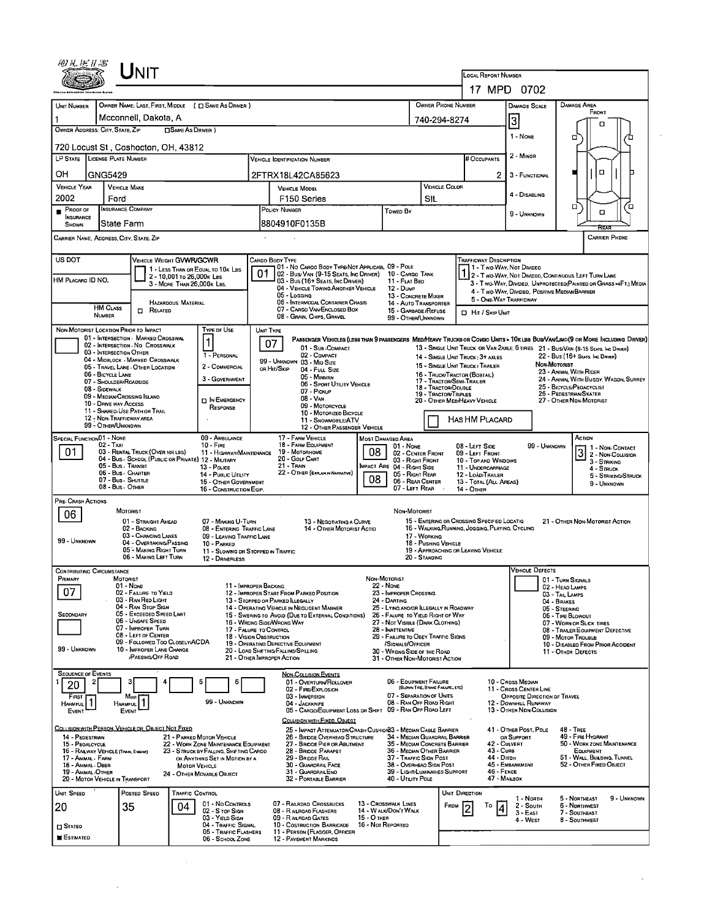|                                                                              | Unit                                                                  |                                                                                                                  |                                                          |                                                                                                                              |                   |                                                                                            |                                      |                                                                                  |                                                                                                 |                                                        |                                |                                                                                                                        |                      |
|------------------------------------------------------------------------------|-----------------------------------------------------------------------|------------------------------------------------------------------------------------------------------------------|----------------------------------------------------------|------------------------------------------------------------------------------------------------------------------------------|-------------------|--------------------------------------------------------------------------------------------|--------------------------------------|----------------------------------------------------------------------------------|-------------------------------------------------------------------------------------------------|--------------------------------------------------------|--------------------------------|------------------------------------------------------------------------------------------------------------------------|----------------------|
|                                                                              |                                                                       |                                                                                                                  |                                                          |                                                                                                                              |                   |                                                                                            |                                      |                                                                                  | LOCAL REPORT NUMBER<br>17 MPD 0702                                                              |                                                        |                                |                                                                                                                        |                      |
|                                                                              |                                                                       |                                                                                                                  |                                                          |                                                                                                                              |                   |                                                                                            |                                      | OWNER PHONE NUMBER                                                               |                                                                                                 |                                                        |                                | Damage Area                                                                                                            |                      |
| UNIT NUMBER                                                                  | Mcconnell, Dakota, A                                                  | OWNER NAME: LAST, FIRST, MIDDLE ( C SAME AS DRIVER )                                                             |                                                          |                                                                                                                              |                   |                                                                                            |                                      | 740-294-8274                                                                     |                                                                                                 | <b>DAMAGE SCALE</b>                                    |                                | FRONT                                                                                                                  |                      |
| OWNER ADDRESS: CITY, STATE, ZIP                                              |                                                                       | □ SAME AS DRIVER )                                                                                               |                                                          |                                                                                                                              |                   |                                                                                            |                                      |                                                                                  |                                                                                                 | 3                                                      |                                | п                                                                                                                      |                      |
| 720 Locust St, Coshocton, OH, 43812                                          |                                                                       |                                                                                                                  |                                                          |                                                                                                                              |                   |                                                                                            |                                      |                                                                                  |                                                                                                 | 1 - NONE                                               |                                | о                                                                                                                      |                      |
| LP STATE LICENSE PLATE NUMBER                                                |                                                                       |                                                                                                                  |                                                          | <b>VEHICLE IDENTIFICATION NUMBER</b>                                                                                         |                   |                                                                                            |                                      |                                                                                  | # Occupants                                                                                     | 2 - MINOR                                              |                                |                                                                                                                        |                      |
| OН<br>GNG5429                                                                |                                                                       |                                                                                                                  |                                                          | 2FTRX18L42CA85623                                                                                                            |                   |                                                                                            |                                      |                                                                                  | 2.                                                                                              | 3 - FUNCTIONAL                                         |                                | $\Box$                                                                                                                 |                      |
| <b>VEHICLE YEAR</b><br>2002                                                  | <b>VEHICLE MAKE</b>                                                   |                                                                                                                  |                                                          | VEHICLE MODEL                                                                                                                |                   |                                                                                            |                                      | VEHICLE COLOR                                                                    |                                                                                                 | 4 - DISABLING                                          |                                |                                                                                                                        |                      |
| Proof of                                                                     | Ford<br><b>INSURANCE COMPANY</b>                                      |                                                                                                                  |                                                          | F150 Series<br>POLICY NUMBER                                                                                                 |                   | Towen By                                                                                   | SIL                                  |                                                                                  |                                                                                                 |                                                        |                                | п<br>$\Box$                                                                                                            | o                    |
| <b>INSURANCE</b><br><b>SHOWN</b>                                             | State Farm                                                            |                                                                                                                  |                                                          | 8804910F0135B                                                                                                                |                   |                                                                                            |                                      |                                                                                  |                                                                                                 | 9 - UNKNOWN                                            |                                |                                                                                                                        |                      |
| CARRIER NAME, ADDRESS, CITY, STATE, ZIP                                      |                                                                       |                                                                                                                  |                                                          |                                                                                                                              |                   |                                                                                            |                                      |                                                                                  |                                                                                                 |                                                        |                                |                                                                                                                        | <b>CARRIER PHONE</b> |
| US DOT                                                                       |                                                                       | VEHICLE WEIGHT GVWR/GCWR                                                                                         |                                                          | CARGO BODY TYPE                                                                                                              |                   |                                                                                            |                                      |                                                                                  | TRAFFICWAY DESCRIPTION                                                                          |                                                        |                                |                                                                                                                        |                      |
| HM PLACARD ID NO.                                                            |                                                                       | 1 - LESS THAN OR EQUAL TO 10K LBS<br>2 - 10,001 to 26,000K Las                                                   | 01                                                       | 01 - No CARGO BODY TYPE/NOT APPLICABL 09 - POLE<br>02 - Bus/Van (9-15 Seats, Inc Driver)<br>03 - Bus (16+ Seats, Inc Driver) |                   | 10 CARGO TANK<br>11 - FLAT BED                                                             |                                      |                                                                                  | 1 - Two-Way, Not Divideo                                                                        |                                                        |                                | 2 - Two-Way, Not Divideo, Continuous Left Turn Lane                                                                    |                      |
|                                                                              |                                                                       | 3 - MORE THAN 26,000K LBS.                                                                                       |                                                          | 04 - VEHICLE TOWING ANOTHER VEHICLE<br>05 - Logging                                                                          |                   | 12 - Dump<br>13 - CONCRETE MIXER                                                           |                                      |                                                                                  | 4 - Two-Way, Divideo. Positive Median Barrier                                                   |                                                        |                                | 3 - Two-Way, Divided, Unprotected (Painted or Grass >4FT.) Media                                                       |                      |
| <b>HM CLASS</b>                                                              | $\Box$ RELATED                                                        | <b>HAZARDOUS MATERIAL</b>                                                                                        |                                                          | 06 - INTERMODAL CONTAINER CHASIS<br>07 - CARGO VAN ENCLOSED BOX                                                              |                   | 14 - Auto Transporter<br>15 - GARBAGE / REFUSE                                             |                                      |                                                                                  | 5 - ONE-WAY TRAFFICWAY<br><b>D</b> HIT / SKIP UNIT                                              |                                                        |                                |                                                                                                                        |                      |
| <b>NUMBER</b>                                                                |                                                                       |                                                                                                                  |                                                          | 08 - GRAIN, CHIPS, GRAVEL                                                                                                    |                   | 99 - OTHER/UNKNOWN                                                                         |                                      |                                                                                  |                                                                                                 |                                                        |                                |                                                                                                                        |                      |
| NON-MOTORIST LOCATION PRIOR TO IMPACT                                        | 01 - INTERSECTION - MARKED CROSSWAL                                   | Type or Use                                                                                                      | UNIT TYPE                                                | PASSENGER VEHICLES (LESS THAN 9 PASSENGERS MEDIMEAVY TRUCKS OR COMBO UNITS > 10K LES BUS/VAWLIMO(9 OR MORE INCLUDING DRIVER) |                   |                                                                                            |                                      |                                                                                  |                                                                                                 |                                                        |                                |                                                                                                                        |                      |
|                                                                              | 02 - INTERSECTION - NO CROSSWALK<br>03 - INTERSECTION OTHER           | 1 - PERSONAL                                                                                                     |                                                          | 07<br>01 - Sur COMPACT<br>02 - COMPACT                                                                                       |                   |                                                                                            |                                      |                                                                                  | 14 - SINGLE UNIT TRUCK; 3+ AXLES                                                                |                                                        |                                | 13 - SINGLE UNIT TRUCK OR VAN 2AXLE, 6 TIRES 21 - BUS/VAN (9-15 SEATS, INC DRIVER)<br>22 - Bus (16+ Seats, Inc Driver) |                      |
|                                                                              | 04 - MIDBLOCK - MARKED CROSSWALK<br>05 - TRAVEL LANE - OTHER LOCATION | 2 - COMMERCIAL                                                                                                   |                                                          | 99 - UNKNOWN 03 - MID SIZE<br>OR HIT/SKIP<br>04 - FULL SIZE                                                                  |                   |                                                                                            |                                      |                                                                                  | 15 - SINGLE UNIT TRUCK / TRAILER                                                                |                                                        | NON-MOTORIST                   | 23 - ANIMAL WITH RIDER                                                                                                 |                      |
| 06 - BICYCLE LANE<br>08 - SIDEWALK                                           | 07 - SHOULDER/ROADSIDE                                                | 3 - GOVERNMENT                                                                                                   |                                                          | 05 - Minivan<br>06 - Sport Utility Vehicle                                                                                   |                   |                                                                                            |                                      | 16 - TRUCK/TRACTOR (BOBTAIL)<br>17 - TRACTOR/SEMI-TRAILER<br>18 - TRACTOR/DOUBLE |                                                                                                 |                                                        |                                | 24 - ANIMAL WITH BUGGY, WAGON, SURREY<br>25 - BICYCLE/PEDACYCLIST                                                      |                      |
| 10 - DRIVE WAY ACCESS                                                        | 09 - MEDIAN/CROSSING ISLAND                                           | I IN EMERGENCY                                                                                                   |                                                          | 07 - Pickup<br>08 - VAN                                                                                                      |                   |                                                                                            |                                      | 19 - TRACTOR/TRIPLES<br>20 - OTHER MEDIHEAVY VEHICLE                             |                                                                                                 |                                                        |                                | 26 - PEDESTRIAN/SKATER<br>27 - OTHER NON-MOTORIST                                                                      |                      |
|                                                                              | 11 - SHARED-USE PATH OR TRAIL<br>12 - NON-TRAFFICWAY AREA             | RESPONSE                                                                                                         |                                                          | 09 - MOTORCYCLE<br>10 - MOTORIZED BICYCLE                                                                                    |                   |                                                                                            |                                      |                                                                                  |                                                                                                 |                                                        |                                |                                                                                                                        |                      |
| 99 - OTHER/UNKNOWN                                                           |                                                                       |                                                                                                                  |                                                          | 11 - SNOWMOBLE/ATV<br>12 - OTHER PASSENGER VEHICLE                                                                           |                   |                                                                                            |                                      |                                                                                  | <b>HAS HM PLACARD</b>                                                                           |                                                        |                                |                                                                                                                        |                      |
| SPECIAL FUNCTION 01 - NONE<br>02 - Taxi                                      |                                                                       | 09 - AMBULANCE<br>$10 -$ FiRE                                                                                    |                                                          | 17 - FARM VEHICLE<br>18 - FARM EQUIPMENT                                                                                     |                   | <b>MOST DAMAGED AREA</b><br>01 - NONE                                                      |                                      |                                                                                  | 08 - LEFT SIDE                                                                                  |                                                        | 99 - UNKNOWN                   | ACTION<br>$3$ $1 -$ Non-Contact<br>$3$ $2 -$ Non-Contact                                                               |                      |
| 01                                                                           | 03 - RENTAL TRUCK (OVER 10KLBS)                                       | 11 - HIGHWAY/MAINTENANCE<br>04 - Bus - SCHOOL (PUBLIC OR PRIVATE) 12 - MILITARY                                  |                                                          | 19 - Мотопноме<br>20 - Golf Cart                                                                                             | 08                | 02 - CENTER FRONT<br>03 - RIGHT FRONT                                                      |                                      |                                                                                  | 09 - LEFT FRONT<br>10 - TOP AND WINDOWS                                                         |                                                        |                                | 3 - STRIKING                                                                                                           |                      |
|                                                                              | 05 Bus. Transit<br>06 - Bus - Charter<br>07 - Bus SHUTTLE             | 13 - Pouce<br>14 - PUBLIC UTILITY                                                                                |                                                          | 21 - Train<br>22 - OTHER (EXPLANIN NARRATIVE)                                                                                | 08                | MPACT ARE 04 - RIGHT SIDE<br>05 - Right Rear                                               |                                      |                                                                                  | 11 - UNDERCARRIAGE<br>12 - LOAD/TRAILER                                                         |                                                        |                                | $4 -$ STRUCK                                                                                                           | 5 - STRIKING/STRUCK  |
|                                                                              | 08 - Bus OTHER                                                        | 15 - OTHER GDVERNMENT<br>16 - CONSTRUCTION EQIP.                                                                 |                                                          |                                                                                                                              |                   | 06 - REAR CENTER<br>07 - LEFT REAR                                                         |                                      |                                                                                  | 13 - TOTAL (ALL AREAS)<br>14 - OTHER                                                            |                                                        |                                |                                                                                                                        | 9 - UNKNOWN          |
| PRE- CRASH ACTIONS                                                           | <b>MOTORIST</b>                                                       |                                                                                                                  |                                                          |                                                                                                                              |                   | NON-MOTORIST                                                                               |                                      |                                                                                  |                                                                                                 |                                                        |                                |                                                                                                                        |                      |
| 06                                                                           | 01 - STRAIGHT AHEAD<br>02 - BACKING                                   | 07 - MAKING U-TURN<br>08 - ENTERING TRAFFIC LANE                                                                 |                                                          | 13 - NEGOTIATING A CURVE<br>14 - OTHER MOTORIST ACTIO                                                                        |                   |                                                                                            |                                      |                                                                                  | 15 - ENTERING OR CROSSING SPECIFIED LOCATIO<br>16 - WALKING, RUNNING, JOGGING, PLAYING, CYCLING |                                                        |                                | 21 - OTHER NON-MOTORIST ACTION                                                                                         |                      |
| 99 - UNKNOWN                                                                 | 03 - CHANGING LANES<br>04 - OVERTAKING/PASSING                        | 09 - LEAVING TRAFFIC LANE<br>10 - PARKED                                                                         |                                                          |                                                                                                                              |                   |                                                                                            | 17 - WORKING<br>18 - PUSHING VEHICLE |                                                                                  |                                                                                                 |                                                        |                                |                                                                                                                        |                      |
|                                                                              | 05 - MAKING RIGHT TURN<br>06 - MAKING LEFT TURN                       | 11 - SLOWING DR STOPPED IN TRAFFIC<br>12 - DRIVERLESS                                                            |                                                          |                                                                                                                              |                   |                                                                                            | 20 - Standing                        |                                                                                  | 19 - APPROACHING OR LEAVING VEHICLE                                                             |                                                        |                                |                                                                                                                        |                      |
| <b>CONTRIBUTING CIRCUMSTANCE</b>                                             |                                                                       |                                                                                                                  |                                                          |                                                                                                                              |                   |                                                                                            |                                      |                                                                                  |                                                                                                 | <b>VEHICLE DEFECTS</b>                                 |                                |                                                                                                                        |                      |
| Primary                                                                      | MOTORIST<br>01 - NONE                                                 |                                                                                                                  | 11 - IMPROPER BACKING                                    |                                                                                                                              | NON-MOTORIST      | 22 - None                                                                                  |                                      |                                                                                  |                                                                                                 |                                                        |                                | 01 - TURN SIGNALS<br>02 - Head Lamps                                                                                   |                      |
| 07                                                                           | 02 - FAILURE TO YELD<br>03 - RAN RED LIGHT                            |                                                                                                                  |                                                          | 12 - IMPROPER START FROM PARKED POSITION<br>13 - STOPPED OR PARKED LLEGALLY                                                  |                   | 23 - IMPROPER CROSSING<br>24 - DARTING                                                     |                                      |                                                                                  |                                                                                                 |                                                        | 03 - TAIL LAMPS<br>04 - BRAKES |                                                                                                                        |                      |
| SECONDARY                                                                    | 04 - RAN STOP SIGN<br>05 - Exceeded Speed Limit<br>06 - UNSAFE SPEED  |                                                                                                                  |                                                          | 14 - OPERATING VEHICLE IN NEGLIGENT MANNER<br>15 - SWERING TO AVOID (DUE TO EXTERNAL CONDITIONS)                             |                   | 25 - LYING AND/OR ILLEGALLY IN ROADWAY<br>26 - FALURE TO YIELD RIGHT OF WAY                |                                      |                                                                                  |                                                                                                 |                                                        | 05 - STEERING                  | 06 - TIRE BLOWOUT                                                                                                      |                      |
|                                                                              | 07 - IMPROPER TURN<br>08 - LEFT OF CENTER                             |                                                                                                                  | 17 - FALURE TO CONTROL<br><b>18 - VISION OBSTRUCTION</b> | 16 - WRONG SIDE/WRONG WAY                                                                                                    |                   | 27 - NOT VISIBLE (DARK CLOTHING)<br>28 - INATTENTIVE<br>29 - FAILURE TO OBEY TRAFFIC SIGNS |                                      |                                                                                  |                                                                                                 |                                                        |                                | 07 - WORN OR SLICK TIRES<br>08 - TRAILER EQUIPMENT DEFECTIVE                                                           |                      |
| 99 - UNKNOWN                                                                 | 09 - FOLLOWED TOO CLOSELY/ACDA<br>10 - IMPROPER LANE CHANGE           |                                                                                                                  |                                                          | 19 - OPERATING DEFECTIVE EQUIPMENT<br>20 - LOAD SHIFTING/FALLING/SPILLING                                                    |                   | /SIGNALS/OFFICER<br>30 - WRONG SIDE OF THE ROAD                                            |                                      |                                                                                  |                                                                                                 |                                                        |                                | 09 - MOTOR TROUBLE<br>10 - DISABLED FROM PRIOR ACCIDENT<br>11 - OTHER DEFECTS                                          |                      |
|                                                                              | PASSING/OFF ROAD                                                      |                                                                                                                  |                                                          | 21 - OTHER IMPROPER ACTION                                                                                                   |                   | 31 - OTHER NON-MOTORIST ACTION                                                             |                                      |                                                                                  |                                                                                                 |                                                        |                                |                                                                                                                        |                      |
| <b>SEQUENCE OF EVENTS</b>                                                    |                                                                       | 5<br>6                                                                                                           |                                                          | <b>NON-COLLISION EVENTS</b><br>01 - OVERTURN/ROLLOVER                                                                        |                   | 06 - EDUIPMENT FAILURE                                                                     |                                      |                                                                                  |                                                                                                 | 10 - Cross Median                                      |                                |                                                                                                                        |                      |
| 20<br>FIRST                                                                  | Most                                                                  |                                                                                                                  |                                                          | 02 - FIRE/EXPLOSION<br>03 - IMMERSION                                                                                        |                   | 07 - SEPARATION OF UNITS                                                                   | (BLOWN TIRE, BRAKE FAILURE, ETC)     |                                                                                  |                                                                                                 | 11 - Cross CENTER LINE<br>OPPOSITE DIRECTION OF TRAVEL |                                |                                                                                                                        |                      |
| HARMFUL<br>EVENT                                                             | <b>HARMFUL</b><br>EVENT                                               | 99 - UNKNOWN                                                                                                     |                                                          | 04 - JACKKNIFE<br>05 - CARGO/EQUIPMENT LOSS OR SHIFT 09 - RAN OFF ROAD LEFT                                                  |                   | 08 - RAN OFF ROAD RIGHT                                                                    |                                      |                                                                                  |                                                                                                 | 12 - DOWNHILL RUNAWAY<br>13 - OTHER NON-COLLISION      |                                |                                                                                                                        |                      |
| COLLISION WITH PERSON, VEHICLE OR OBJECT NOT FIXED                           |                                                                       |                                                                                                                  |                                                          | COLLISION WITH FIXED, OBJECT                                                                                                 |                   |                                                                                            |                                      |                                                                                  |                                                                                                 |                                                        |                                |                                                                                                                        |                      |
| 14 - Pedestrian                                                              |                                                                       | 21 - PARKED MOTOR VEHICLE                                                                                        |                                                          | 25 - IMPACT ATTENUATOR/CRASH CUSHION33 - MEOIAN CABLE BARRIER<br>26 - BRIDGE OVERHEAD STRUCTURE                              |                   | 34 - MEDIAN GUARDRAIL BARRIER                                                              |                                      |                                                                                  |                                                                                                 | 41 - OTHER POST, PDLE<br>OR SUPPORT                    |                                | $48 - Tree$<br>49 - FIRE HYDRANT<br>50 - WORK ZONE MAINTENANCE                                                         |                      |
| 15 - PEOALCYCLE<br>16 - RAILWAY VEHICLE (TRAN, ENGINE)<br>17 - Animal - Farm |                                                                       | 22 - WORK ZONE MAINTENANCE EQUIPMENT<br>23 - STRUCK BY FALLING, SHIFTING CARGO<br>OR ANYTHING SET IN MOTION BY A |                                                          | 27 - BRIDGE PIER OR ABUTMENT<br>28 - BRIDGE PARAPET<br>29 - Bridge Rail                                                      |                   | 35 - MEDIAN CONCRETE BARRIER<br>36 - Median Other Barrier<br>37 - Traffic Sign Post        |                                      |                                                                                  | 42 - CULVERT<br>43 - CuRB<br>44 - Олсн                                                          |                                                        |                                | EQUIPMENT<br>51 - WALL, BULDING, TUNNEL                                                                                |                      |
| 18 - Animal - Deer<br>19 - ANIMAL OTHER                                      |                                                                       | <b>MOTOR VEHICLE</b><br>24 - OTHER MOVABLE OBJECT                                                                |                                                          | 30 - GUARDRAIL FACE<br>31 - GUARDRAILENO                                                                                     |                   | 38 - OVERHEAD SIGN POST<br>39 - LIGHT/LUMINARIES SUPPORT                                   |                                      |                                                                                  | 46 - FENCE                                                                                      | 45 - EMBANKMENT                                        |                                | 52 - OTHER FIXED OBJECT                                                                                                |                      |
| 20 - MOTOR VEHICLE IN TRANSPORT                                              |                                                                       |                                                                                                                  |                                                          | 32 - PORTABLE BARRIER                                                                                                        |                   | 40 - UTILITY POLE                                                                          |                                      |                                                                                  | 47 - MAILBOX                                                                                    |                                                        |                                |                                                                                                                        |                      |
| <b>UNIT SPEED</b>                                                            | POSTED SPEED                                                          | TRAFFIC CONTROL<br>01 - No CONTROLS                                                                              |                                                          | 07 - RALRDAD CROSSBUCKS                                                                                                      |                   | 13 - Crosswalk Lines                                                                       |                                      | <b>UNIT DIRECTION</b>                                                            |                                                                                                 | 1 - North                                              |                                | 5 - NORTHEAST                                                                                                          | 9 - UNKNOWN          |
| 20                                                                           | 35                                                                    | 04<br>02 - S TOP SIGN<br>03 - YIELD SIGN                                                                         |                                                          | 08 - RAILROAD FLASHERS<br>09 - RAILRDAD GATES                                                                                | 15 - О тиля       | 14 - WALK/DON'T WALK                                                                       |                                      | FROM                                                                             | То<br>4                                                                                         | 2 - South<br>$3 - EAST$<br>4 - WEST                    |                                | 6 - Northwest<br>7 - SOUTHEAST<br>8 - SOUTHWEST                                                                        |                      |
| $\square$ Stateo                                                             |                                                                       | 04 - TRAFFIC SIGNAL<br>05 - Traffic FLASHERS                                                                     |                                                          | 10 - COSTRUCTION BARRICADE<br>11 - PERSON (FLAGGER, OFFICER                                                                  | 16 - Not Reported |                                                                                            |                                      |                                                                                  |                                                                                                 |                                                        |                                |                                                                                                                        |                      |
| ESTIMATED                                                                    |                                                                       | 06 - SCHOOL ZONE                                                                                                 |                                                          | <b>12 - PAVEMENT MARKINGS</b>                                                                                                |                   |                                                                                            |                                      |                                                                                  |                                                                                                 |                                                        |                                |                                                                                                                        |                      |

 $\bar{z}$ 

 $\sim 10^7$ 

 $\sim$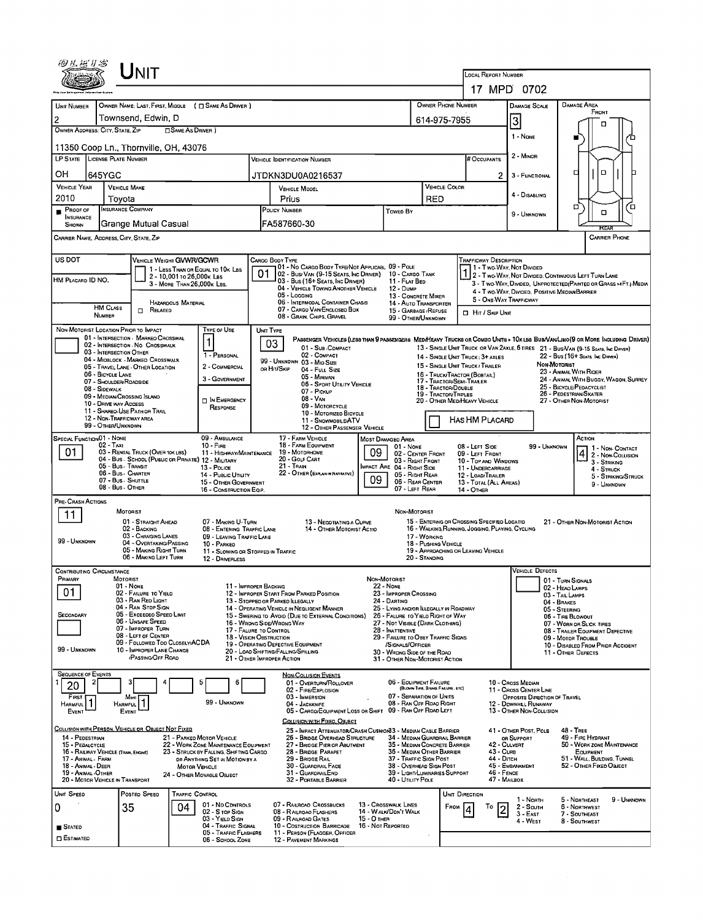|                                                                                                                                                                                        |                                                                                   | UNIT                                                                                                                                                                                                                                                                                                                                       |                                                                                |                                                                                                                                                                         |    |                                                                                                                                                                                                                                                                                                                                                                                                                                   |                                  |                                                                                                                                                                                                                                                                                                                                              |                                                       |                                                                                                         |                                                                                                                                              |                                                                                                      |                                                                                                                                      |                                                                                                              |                                                                                                                                               |                                                                               |
|----------------------------------------------------------------------------------------------------------------------------------------------------------------------------------------|-----------------------------------------------------------------------------------|--------------------------------------------------------------------------------------------------------------------------------------------------------------------------------------------------------------------------------------------------------------------------------------------------------------------------------------------|--------------------------------------------------------------------------------|-------------------------------------------------------------------------------------------------------------------------------------------------------------------------|----|-----------------------------------------------------------------------------------------------------------------------------------------------------------------------------------------------------------------------------------------------------------------------------------------------------------------------------------------------------------------------------------------------------------------------------------|----------------------------------|----------------------------------------------------------------------------------------------------------------------------------------------------------------------------------------------------------------------------------------------------------------------------------------------------------------------------------------------|-------------------------------------------------------|---------------------------------------------------------------------------------------------------------|----------------------------------------------------------------------------------------------------------------------------------------------|------------------------------------------------------------------------------------------------------|--------------------------------------------------------------------------------------------------------------------------------------|--------------------------------------------------------------------------------------------------------------|-----------------------------------------------------------------------------------------------------------------------------------------------|-------------------------------------------------------------------------------|
|                                                                                                                                                                                        |                                                                                   |                                                                                                                                                                                                                                                                                                                                            |                                                                                |                                                                                                                                                                         |    |                                                                                                                                                                                                                                                                                                                                                                                                                                   |                                  |                                                                                                                                                                                                                                                                                                                                              |                                                       |                                                                                                         | <b>LOCAL REPORT NUMBER</b><br>17 MPD 0702                                                                                                    |                                                                                                      |                                                                                                                                      |                                                                                                              |                                                                                                                                               |                                                                               |
| UNIT NUMBER                                                                                                                                                                            |                                                                                   |                                                                                                                                                                                                                                                                                                                                            |                                                                                | OWNER NAME: LAST, FIRST, MIDDLE ( C SAME AS DRIVER )                                                                                                                    |    |                                                                                                                                                                                                                                                                                                                                                                                                                                   |                                  |                                                                                                                                                                                                                                                                                                                                              |                                                       | <b>OWNER PHONE NUMBER</b>                                                                               |                                                                                                                                              |                                                                                                      | <b>DAMAGE SCALE</b>                                                                                                                  |                                                                                                              | DAMAGE AREA                                                                                                                                   |                                                                               |
|                                                                                                                                                                                        |                                                                                   | Townsend, Edwin, D                                                                                                                                                                                                                                                                                                                         |                                                                                |                                                                                                                                                                         |    |                                                                                                                                                                                                                                                                                                                                                                                                                                   |                                  |                                                                                                                                                                                                                                                                                                                                              |                                                       |                                                                                                         |                                                                                                                                              |                                                                                                      |                                                                                                                                      |                                                                                                              | FRONT                                                                                                                                         |                                                                               |
| 2<br>OWNER ADDRESS: CITY, STATE, ZIP                                                                                                                                                   |                                                                                   |                                                                                                                                                                                                                                                                                                                                            | □ SAME AS DRIVER)                                                              |                                                                                                                                                                         |    |                                                                                                                                                                                                                                                                                                                                                                                                                                   |                                  |                                                                                                                                                                                                                                                                                                                                              |                                                       | 614-975-7955                                                                                            |                                                                                                                                              | 3                                                                                                    | 1 - None                                                                                                                             |                                                                                                              | п                                                                                                                                             |                                                                               |
|                                                                                                                                                                                        |                                                                                   | 11350 Coop Ln., Thornville, OH, 43076                                                                                                                                                                                                                                                                                                      |                                                                                |                                                                                                                                                                         |    |                                                                                                                                                                                                                                                                                                                                                                                                                                   |                                  |                                                                                                                                                                                                                                                                                                                                              |                                                       |                                                                                                         |                                                                                                                                              |                                                                                                      |                                                                                                                                      |                                                                                                              |                                                                                                                                               |                                                                               |
| LP STATE LICENSE PLATE NUMBER                                                                                                                                                          |                                                                                   |                                                                                                                                                                                                                                                                                                                                            |                                                                                |                                                                                                                                                                         |    | <b>VEHICLE IDENTIFICATION NUMBER</b>                                                                                                                                                                                                                                                                                                                                                                                              |                                  |                                                                                                                                                                                                                                                                                                                                              |                                                       |                                                                                                         | <b>B</b> Occupants                                                                                                                           |                                                                                                      | 2 - MINOR                                                                                                                            |                                                                                                              |                                                                                                                                               |                                                                               |
| он                                                                                                                                                                                     | 645YGC                                                                            |                                                                                                                                                                                                                                                                                                                                            |                                                                                |                                                                                                                                                                         |    | JTDKN3DU0A0216537                                                                                                                                                                                                                                                                                                                                                                                                                 |                                  |                                                                                                                                                                                                                                                                                                                                              |                                                       |                                                                                                         |                                                                                                                                              | $\mathbf{2}$                                                                                         | 3 - FUNCTIONAL                                                                                                                       | о                                                                                                            | D                                                                                                                                             |                                                                               |
| <b>VEHICLE YEAR</b><br>2010                                                                                                                                                            |                                                                                   | <b>VEHICLE MAKE</b><br>Toyota                                                                                                                                                                                                                                                                                                              |                                                                                |                                                                                                                                                                         |    | VEHICLE MOOEL<br>Prius                                                                                                                                                                                                                                                                                                                                                                                                            |                                  |                                                                                                                                                                                                                                                                                                                                              | RED                                                   | VEHICLE COLOR                                                                                           |                                                                                                                                              |                                                                                                      | 4 - DISABLING                                                                                                                        |                                                                                                              |                                                                                                                                               |                                                                               |
| $P_{ROOF OF}$<br>INSURANCE                                                                                                                                                             |                                                                                   | <b>INSURANCE COMPANY</b>                                                                                                                                                                                                                                                                                                                   |                                                                                |                                                                                                                                                                         |    | POLICY NUMBER                                                                                                                                                                                                                                                                                                                                                                                                                     |                                  | <b>Towen By</b>                                                                                                                                                                                                                                                                                                                              |                                                       |                                                                                                         |                                                                                                                                              |                                                                                                      | 9 - UNKNOWN                                                                                                                          |                                                                                                              | о<br>о                                                                                                                                        | 7о                                                                            |
| SHOWN                                                                                                                                                                                  |                                                                                   | <b>Grange Mutual Casual</b>                                                                                                                                                                                                                                                                                                                |                                                                                |                                                                                                                                                                         |    | FA587660-30                                                                                                                                                                                                                                                                                                                                                                                                                       |                                  |                                                                                                                                                                                                                                                                                                                                              |                                                       |                                                                                                         |                                                                                                                                              |                                                                                                      |                                                                                                                                      |                                                                                                              | RFA                                                                                                                                           |                                                                               |
| CARRIER NAME, ADDRESS, CITY, STATE, ZIP                                                                                                                                                |                                                                                   |                                                                                                                                                                                                                                                                                                                                            |                                                                                |                                                                                                                                                                         |    |                                                                                                                                                                                                                                                                                                                                                                                                                                   |                                  |                                                                                                                                                                                                                                                                                                                                              |                                                       |                                                                                                         |                                                                                                                                              |                                                                                                      |                                                                                                                                      |                                                                                                              |                                                                                                                                               | <b>CARRIER PHONE</b>                                                          |
| US DOT<br>HM PLACARD ID NO.                                                                                                                                                            | <b>HM CLASS</b>                                                                   | VEHICLE WEIGHT GVWR/GCWR                                                                                                                                                                                                                                                                                                                   | 2 - 10,001 to 26,000 k Las<br>3 - MORE THAN 26.000K LBS.<br>HAZARDOUS MATERIAL | 1 - LESS THAN OR EQUAL TO 10K LBS                                                                                                                                       | 01 | CARGO BOOY TYPE<br>101 - No CARGO BOOY TYPE/NOT APPLICABL 09 - POLE<br>02 - Bus/Van (9-15 Seats, Inc Driver)<br>03 - Bus (16+ Seats, Inc Driver)<br>04 - VEHICLE TOWING ANOTHER VEHICLE<br>05 - Locging<br>06 - INTERMODAL CONTAINER CHASIS                                                                                                                                                                                       |                                  | 10 - CARGO TANK<br>11 - Flat Bed<br><b>12 - Dump</b><br>13 - CONCRETE MIXER<br>14 - AUTO TRANSPORTER                                                                                                                                                                                                                                         |                                                       |                                                                                                         | <b>TRAFFICWAY DESCRIPTION</b><br>1 - Two Way, Not Divided<br>5 - ONE-WAY TRAFFICWAY                                                          |                                                                                                      | 2 - Two-WAY, NOT DIVIDEO, CONTINUOUS LEFT TURN LANE<br>4 - Two-WAY, DIVIDED, POSITIVE MEDIAN BARRIER                                 |                                                                                                              |                                                                                                                                               | 3 - Two-Way, Divided, Unprotected (Painted or Grass >4FT.) Media              |
|                                                                                                                                                                                        | <b>NUMBER</b>                                                                     | $\Box$ Related                                                                                                                                                                                                                                                                                                                             |                                                                                |                                                                                                                                                                         |    | 07 - CARGO VAN/ENCLOSED BOX<br>08 - Gran, Chips, Gravel                                                                                                                                                                                                                                                                                                                                                                           |                                  | 15 - GARBAGE / REFUSE<br>99 - OTHER/UNKNOWN                                                                                                                                                                                                                                                                                                  |                                                       |                                                                                                         | HIT / SKIP UNIT                                                                                                                              |                                                                                                      |                                                                                                                                      |                                                                                                              |                                                                                                                                               |                                                                               |
|                                                                                                                                                                                        | 06 - BICYCLE LANE<br>08 - SIDEWALK<br>10 - DRIVE WAY ACCESS<br>99 - OTHER/UNKNOWN | NON-MOTORIST LOCATION PRIOR TO IMPACT<br>01 - INTERSECTION - MARKEO CROSSWAL<br>02 - INTERSECTION - NO CROSSWALK<br>03 - INTERSECTION OTHER<br>04 - MIOBLOCK - MARKED CROSSWALK<br>05 - TRAVEL LANE - OTHER LOCATION<br>07 - SHOULDER/ROADSIDE<br>09 - MEOIAN/CROSSING ISLAND<br>11 - Shareo Use Path or Trail<br>12 - NON-TRAFFICWAY AREA |                                                                                | TYPE OF USE<br>1 - PERSONAL<br>2 - COMMERCIAL<br>3 - GOVERNMENT<br>$\Box$ In Emergency<br>RESPONSE                                                                      |    | UNIT TYPE<br>PASSENGER VEHICLES (LESS THAN 9 PASSENGERS MEDIHEAVY TRUCKS OR COMBO UNITS > 10KLBS BUS/VAN/LIMO(9 OR MORE INCLUDING DRIVER)<br>03<br>01 - Sub - COMPACT<br>02 - COMPACT<br>99 - UNKNOWN 03 - MID SIZE<br>OR HIT/SKIP<br>04 - Full Size<br>05 - Minivan<br>06 - SPORT UTILITY VEHICLE<br>07 - Pickup<br>08 - VAN<br>09 - MOTORCYCLE<br>10 - MOTORIZEO BICYCLE<br>11 - SNOWMOBILE/ATV<br>12 - OTHER PASSENGER VEHICLE |                                  |                                                                                                                                                                                                                                                                                                                                              |                                                       | 16 - Тяиск/Твастов (Вовтал.)<br>17 - TRACTOR/SEMI-TRALER<br>18 - Tractor/Double<br>19 - TRACTOR/TRIPLES | 14 - SINGLE UNIT TRUCK: 3+ AXLES<br>15 - SINGLE UNIT TRUCK / TRAILER<br>20 - OTHER MEDIHEAVY VEHICLE<br><b>HAS HM PLACARD</b>                |                                                                                                      | 13 - SINGLE UNIT TRUCK OR VAN 2AXLE, 6 TIRES 21 - BUS/VAN (9-15 SEATS, Inc DRIVER)                                                   | Non-Motorist                                                                                                 | 22 - Bus (16+ Seats, Inc. Driver)<br>23 - Animal With Rider<br>25 - BICYCLE/PEDACYCLIST<br>26 - PEDESTRIAN SKATER<br>27 - OTHER NON-MOTORIST  | 24 - ANIMAL WITH BUGGY, WAGON, SURREY                                         |
| SPECIAL FUNCTION 01 - NONE<br>01                                                                                                                                                       | $02 - T_A x_1$                                                                    | 03 - RENTAL TRUCK (OVER 10K LBS)<br>04 - Bus - SCHOOL (PUBLIC OR PRIVATE) 12 - MILITARY<br>05 - Bus - Transit<br>06 - Bus - Charter<br>07 - Bus - SHUTTLE<br>08 - Bus - OTHER                                                                                                                                                              |                                                                                | 09 - AMBULANCE<br>$10 -$ Fine<br>11 - HIGHWAY/MAINTENANCE<br>13 - Pouce<br>14 - PUBLIC UTILITY<br>15 - OTHER GOVERNMENT<br>16 - CONSTRUCTION EQIP.                      |    | 17 - FARM VEHICLE<br>18 - FARM EQUIPMENT<br>19 - Мотовноме<br>20 - GOLF CART<br>21 - Tran<br>22 - OTHER (EXPLAIN IN NARRATIVE)                                                                                                                                                                                                                                                                                                    | 09<br>09                         | MOST DAMAGED AREA<br>$01 - None$<br>02 - CENTER FRONT<br>03 - RIGHT FRONT<br>MPACT ARE 04 - RIGHT SIDE<br>05 - Right Rear<br>06 - REAR CENTER<br>07 - LEFT REAR                                                                                                                                                                              |                                                       |                                                                                                         | 08 - LEFT SIDE<br>09 - LEFT FRONT<br>10 - TOP AND WINDOWS<br>11 - UNDERCARRIAGE<br>12 - LOAD/TRAILER<br>13 - TOTAL (ALL AREAS)<br>14 - OTHER |                                                                                                      | 99 - UNKNOWN                                                                                                                         |                                                                                                              | ACTION<br>3 - Striking<br>$4 -$ Struck                                                                                                        | $\frac{1 - N_{DN}}{2 - N_{DN}}$ Contact<br>5 - STRIKING/STRUCK<br>9 - UNKNOWN |
| PRE- CRASH ACTIONS<br>11<br>99 - UNKNOWN                                                                                                                                               |                                                                                   | MOTORIST<br>01 - STRAIGHT AHEAD<br>02 - BACKING<br>03 - CHANGING LANES<br>04 - OVERTAKING/PASSING<br>05 - MAKING RIGHT TURN<br>06 - MAKING LEFT TURN                                                                                                                                                                                       |                                                                                | 07 - MAKING U-TURN<br>08 - ENTERING TRAFFIC LANE<br>09 - LEAVING TRAFFIC LANE<br>10 - PARKED<br>11 - Slowing or Stopped in Traffic<br>12 - DRIVERLESS                   |    | 13 - NEGOTIATING A CURVE<br>14 - OTHER MOTORIST ACTIO                                                                                                                                                                                                                                                                                                                                                                             |                                  | NON-MOTORIST                                                                                                                                                                                                                                                                                                                                 | 17 - WORKING<br>18 - PUSHING VEHICLE<br>20 - Standing |                                                                                                         | 15 - ENTERING OR CROSSING SPECIFIED LOCATIO<br>16 - WALKING, RUNNING, JOGGING, PLAYING, CYCLING<br>19 - APPROACHING OR LEAVING VEHICLE       |                                                                                                      |                                                                                                                                      |                                                                                                              | 21 - OTHER NON-MOTORIST ACTION                                                                                                                |                                                                               |
| <b>CONTRIBUTING CIRCUMSTANCE</b>                                                                                                                                                       |                                                                                   |                                                                                                                                                                                                                                                                                                                                            |                                                                                |                                                                                                                                                                         |    |                                                                                                                                                                                                                                                                                                                                                                                                                                   |                                  |                                                                                                                                                                                                                                                                                                                                              |                                                       |                                                                                                         |                                                                                                                                              |                                                                                                      | <b>VEHICLE DEFECTS</b>                                                                                                               |                                                                                                              |                                                                                                                                               |                                                                               |
| PRIMARY<br>01<br>SECONDARY<br>99 - UNKNOWN                                                                                                                                             |                                                                                   | MOTORIST<br>$01 - None$<br>02 - FAILURE TO YIELD<br>03 - RAN REO LIGHT<br>04 - RAN STOP SIGN<br>05 - Exceepeo Speeo Limit<br>06 - UNSAFE SPEED<br>07 - IMPROPER TURN<br>08 - LEFT OF CENTER<br>09 - FOLLOWED TOO CLOSELY/ACDA<br>10 - IMPROPER LANE CHANGE<br><b>PASSING OFF ROAD</b>                                                      |                                                                                | 11 - IMPROPER BACKING                                                                                                                                                   |    | 12 - IMPROPER START FROM PARKED POSITION<br>13 - STOPPED OR PARKED ILLEGALLY<br>14 - OPERATING VEHICLE IN NEGLIGENT MANNER<br>15 - Swering to Avoid (Due to External Conditions)<br>16 - WRONG SIDE/WRONG WAY<br>17 - FALURE TO CONTROL<br>18 - VISION OBSTRUCTION<br>19 - OPERATING DEFECTIVE EQUIPMENT<br>20 - LOAO SHIFTING/FALLING/SPILLING<br>21 - OTHER IMPROPER ACTION                                                     |                                  | NON-MOTORIST<br><b>22 - NONE</b><br>23 - IMPROPER CROSSING<br>24 - DARTING<br>25 - LYING AND/OR ILLEGALLY IN ROADWAY<br>26 - FALURE TO YIELD RIGHT OF WAY<br>27 - NOT VISIBLE (DARK CLOTHING)<br>28 - INATTENTIVE<br>29 - FAILURE TO OBEY TRAFFIC SIGNS<br>/SIGNALS/OFFICER<br>30 - WRONG SIDE OF THE ROAD<br>31 - OTHER NON-MOTORIST ACTION |                                                       |                                                                                                         |                                                                                                                                              |                                                                                                      |                                                                                                                                      | 01 - TURN SIGNALS<br>02 - HEAD LAMPS<br>03 - TAIL LAMPS<br>04 - BRAKES<br>05 - STEERING<br>06 - TIRE BLOWOUT | 07 - WORN OR SLICK TIRES<br>08 - TRAILER EQUIPMENT DEFECTIVE<br>09 - MOTOR TROUBLE<br>10 - DISABLED FROM PRIOR ACCIDENT<br>11 - OTHER DEFECTS |                                                                               |
| <b>SEQUENCE OF EVENTS</b><br>20<br>FIRST<br>HARMFUL<br>EVENT<br>14 - PEDESTRIAN<br>15 - PEDALCYCLE<br>16 - RAILWAY VEHICLE (TRAIN, ENGINE)<br>17 - Animal - Farm<br>18 - Animal - Deer | 2                                                                                 | Most<br><b>HARMFUL</b><br>EVENT<br>COLLISION WITH PERSON, VEHICLE OR OBJECT NOT FIXED                                                                                                                                                                                                                                                      | <b>MOTOR VEHICLE</b>                                                           | 5<br>6<br>99 - UNKNOWN<br>21 - PARKED MOTOR VEHICLE<br>22 - WORK ZONE MAINTENANCE EQUIPMENT<br>23 - STRUCK BY FALLING, SHIFTING CARGO<br>OR ANYTHING SET IN MOTION BY A |    | <b>NON-COLLISION EVENTS</b><br>01 - OVERTURN/ROLLOVER<br>02 - FIRE/EXPLOSION<br>03 - IMMERSION<br>04 - JACKKNIFE<br>05 - CARGO/EQUIPMENT LOSS OR SHIFT<br>COLLISION WITH FIXED, OBJECT<br>25 - IMPACT ATTENUATOR/CRASH CUSHION33 - MEDIAN CABLE BARRIER<br>26 - BRIDGE OVERHEAD STRUCTURE<br>27 - BRIDGE PIER OR ABUTMENT<br>28 - BRIDGE PARAPET<br>29 - BRIDGE RAIL<br>30 - GUARDRAIL FACE                                       |                                  | 06 - EQUIPMENT FAILURE<br>07 - SEPARATION OF UNITS<br>08 - RAN OFF ROAD RIGHT<br>09 - RAN OFF ROAD LEFT<br>34 - MEDIAN GUARDRAIL BARRIER<br>35 - MEDIAN CONCRETE BARRIER<br>36 - MEDIAN OTHER BARRIER<br>37 - TRAFFIC SIGN POST<br>38 - OVERHEAD SIGN POST                                                                                   | (BLOWN TIRE, BRAKE FAILURE, ETC)                      |                                                                                                         |                                                                                                                                              | 10 - Cross Median<br>OR SUPPORT<br>42 - CULVERT<br><b>43 - CURB</b><br>44 - Олтон<br>45 - EMBANKMENT | 11 - CROSS CENTER LINE<br>OPPOSITE DIRECTION OF TRAVEL<br>12 - DOWNHILL RUNAWAY<br>13 - OTHER NON-COLLISION<br>41 - OTHER POST, POLE | $48 -$ TREE                                                                                                  | 49 - FIRE HYDRANT<br>50 - WORK ZONE MAINTENANCE<br>EQUIPMENT<br>51 - WALL, BULDING, TUNNEL<br>52 - OTHER FIXED OBJECT                         |                                                                               |
| 19 - ANIMAL - OTHER<br>20 - MOTOR VEHICLE IN TRANSPORT                                                                                                                                 |                                                                                   |                                                                                                                                                                                                                                                                                                                                            |                                                                                | 24 - OTHER MOVABLE OBJECT                                                                                                                                               |    | 31 - GUARDRAILEND<br>32 - PORTABLE BARRIER                                                                                                                                                                                                                                                                                                                                                                                        |                                  | 39 - LIGHT/LUMINARIES SUPPORT<br>40 - UTILITY POLE                                                                                                                                                                                                                                                                                           |                                                       |                                                                                                         |                                                                                                                                              | 46 - FENCE<br>47 - MAILBOX                                                                           |                                                                                                                                      |                                                                                                              |                                                                                                                                               |                                                                               |
| UNIT SPEED<br>0<br><b>B</b> STATED<br>ESTIMATED                                                                                                                                        |                                                                                   | POSTED SPEED<br>35                                                                                                                                                                                                                                                                                                                         | <b>TRAFFIC CONTROL</b><br>04                                                   | 01 - No CONTROLS<br>02 - S TOP SIGN<br>03 - YIELD SIGN<br>04 - TRAFFIC SIGNAL<br>05 - TRAFFIC FLASHERS<br>06 - SCHOOL ZONE                                              |    | 07 - RAILROAD CROSSBUCKS<br>08 - RAILROAD FLASHERS<br>09 - RAILROAD GATES<br>10 - COSTRUCTION BARRICADE<br>11 - PERSON (FLAGGER, OFFICER<br><b>12 - PAVEMENT MARKINGS</b>                                                                                                                                                                                                                                                         | 15 - О тнея<br>16 - Not Reporteo | 13 - Crosswalk Lines<br>14 - WALK/DON'T WALK                                                                                                                                                                                                                                                                                                 |                                                       | UNIT DIRECTION<br>FROM                                                                                  | То                                                                                                                                           |                                                                                                      | 1 - North<br>2 - South<br>3 - East<br>4 - WEST                                                                                       |                                                                                                              | 5 - NORTHEAST<br>6 - NORTHWEST<br>7 - SOUTHEAST<br>8 - Southwest                                                                              | 9 - UNKNOWN                                                                   |